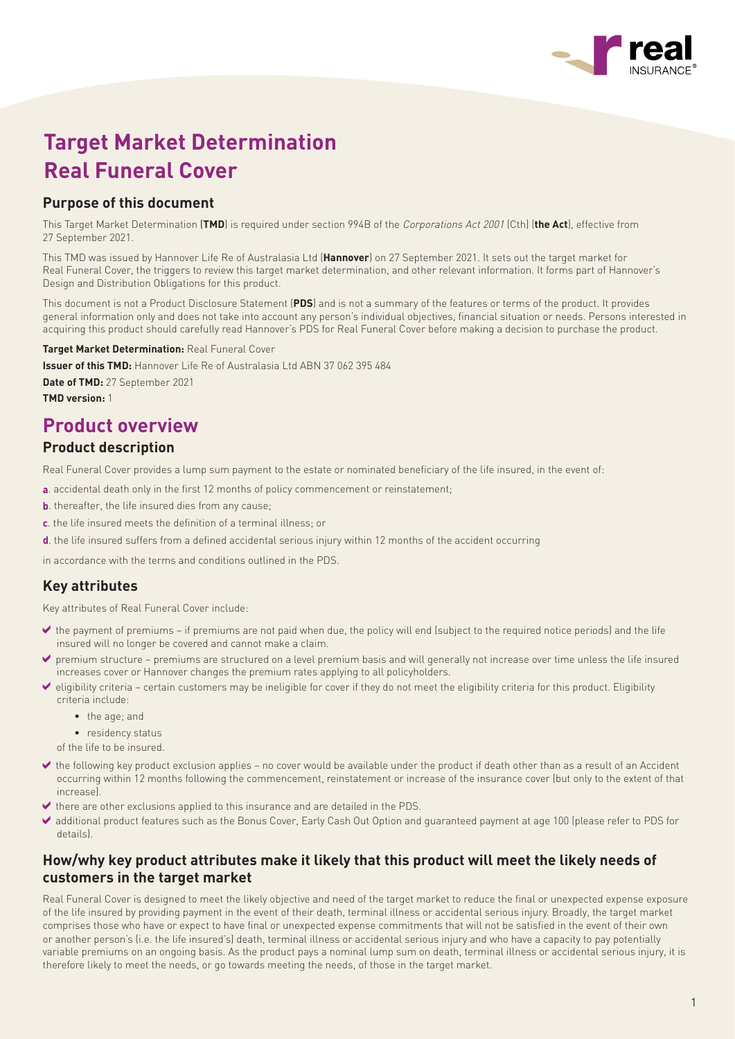

# **Target Market Determination Real Funeral Cover**

## **Purpose of this document**

This Target Market Determination (**TMD**) is required under section 994B of the Corporations Act 2001 (Cth) (**the Act**), effective from 27 September 2021.

This TMD was issued by Hannover Life Re of Australasia Ltd (**Hannover**) on 27 September 2021. It sets out the target market for Real Funeral Cover, the triggers to review this target market determination, and other relevant information. It forms part of Hannover's Design and Distribution Obligations for this product.

This document is not a Product Disclosure Statement (**PDS**) and is not a summary of the features or terms of the product. It provides general information only and does not take into account any person's individual objectives, financial situation or needs. Persons interested in acquiring this product should carefully read Hannover's PDS for Real Funeral Cover before making a decision to purchase the product.

**Target Market Determination:** Real Funeral Cover

**Issuer of this TMD:** Hannover Life Re of Australasia Ltd ABN 37 062 395 484

**Date of TMD:** 27 September 2021

**TMD version:** 1

## **Product overview**

## **Product description**

Real Funeral Cover provides a lump sum payment to the estate or nominated beneficiary of the life insured, in the event of:

- **a**. accidental death only in the first 12 months of policy commencement or reinstatement;
- **b**. thereafter, the life insured dies from any cause;
- **c**. the life insured meets the definition of a terminal illness; or
- **d**. the life insured suffers from a defined accidental serious injury within 12 months of the accident occurring

in accordance with the terms and conditions outlined in the PDS.

### **Key attributes**

Key attributes of Real Funeral Cover include:

- $\blacktriangleright$  the payment of premiums if premiums are not paid when due, the policy will end (subject to the required notice periods) and the life insured will no longer be covered and cannot make a claim.
- premium structure premiums are structured on a level premium basis and will generally not increase over time unless the life insured increases cover or Hannover changes the premium rates applying to all policyholders.
- eligibility criteria certain customers may be ineligible for cover if they do not meet the eligibility criteria for this product. Eligibility criteria include:
	- the age; and
	- residency status
	- of the life to be insured.
- the following key product exclusion applies no cover would be available under the product if death other than as a result of an Accident occurring within 12 months following the commencement, reinstatement or increase of the insurance cover (but only to the extent of that increase).
- $\blacktriangleright$  there are other exclusions applied to this insurance and are detailed in the PDS.
- additional product features such as the Bonus Cover, Early Cash Out Option and guaranteed payment at age 100 (please refer to PDS for details).

### **How/why key product attributes make it likely that this product will meet the likely needs of customers in the target market**

Real Funeral Cover is designed to meet the likely objective and need of the target market to reduce the final or unexpected expense exposure of the life insured by providing payment in the event of their death, terminal illness or accidental serious injury. Broadly, the target market comprises those who have or expect to have final or unexpected expense commitments that will not be satisfied in the event of their own or another person's (i.e. the life insured's) death, terminal illness or accidental serious injury and who have a capacity to pay potentially variable premiums on an ongoing basis. As the product pays a nominal lump sum on death, terminal illness or accidental serious injury, it is therefore likely to meet the needs, or go towards meeting the needs, of those in the target market.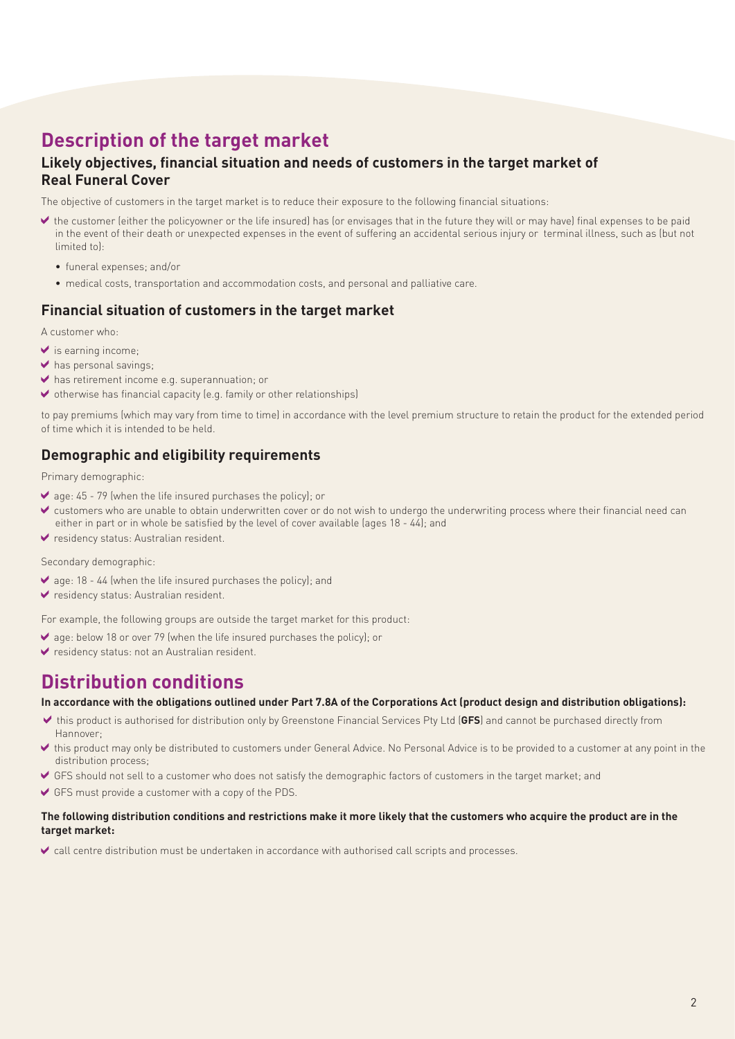# **Description of the target market**

## **Likely objectives, financial situation and needs of customers in the target market of Real Funeral Cover**

The objective of customers in the target market is to reduce their exposure to the following financial situations:

- the customer (either the policyowner or the life insured) has (or envisages that in the future they will or may have) final expenses to be paid in the event of their death or unexpected expenses in the event of suffering an accidental serious injury or terminal illness, such as (but not limited to):
	- funeral expenses; and/or
	- medical costs, transportation and accommodation costs, and personal and palliative care.

#### **Financial situation of customers in the target market**

A customer who:

- $\blacktriangleright$  is earning income;
- has personal savings;
- ◆ has retirement income e.g. superannuation; or
- $\blacktriangleright$  otherwise has financial capacity (e.g. family or other relationships)

to pay premiums (which may vary from time to time) in accordance with the level premium structure to retain the product for the extended period of time which it is intended to be held.

### **Demographic and eligibility requirements**

Primary demographic:

- $\blacktriangleright$  age: 45 79 (when the life insured purchases the policy); or
- customers who are unable to obtain underwritten cover or do not wish to undergo the underwriting process where their financial need can either in part or in whole be satisfied by the level of cover available (ages 18 - 44); and
- residency status: Australian resident.

Secondary demographic:

- $\vee$  age: 18 44 (when the life insured purchases the policy); and
- ↓ residency status: Australian resident.

For example, the following groups are outside the target market for this product:

- age: below 18 or over 79 (when the life insured purchases the policy); or
- residency status: not an Australian resident.

# **Distribution conditions**

#### **In accordance with the obligations outlined under Part 7.8A of the Corporations Act (product design and distribution obligations):**

- this product is authorised for distribution only by Greenstone Financial Services Pty Ltd (**GFS**) and cannot be purchased directly from Hannover;
- this product may only be distributed to customers under General Advice. No Personal Advice is to be provided to a customer at any point in the distribution process;
- GFS should not sell to a customer who does not satisfy the demographic factors of customers in the target market; and
- GFS must provide a customer with a copy of the PDS.

#### **The following distribution conditions and restrictions make it more likely that the customers who acquire the product are in the target market:**

call centre distribution must be undertaken in accordance with authorised call scripts and processes.